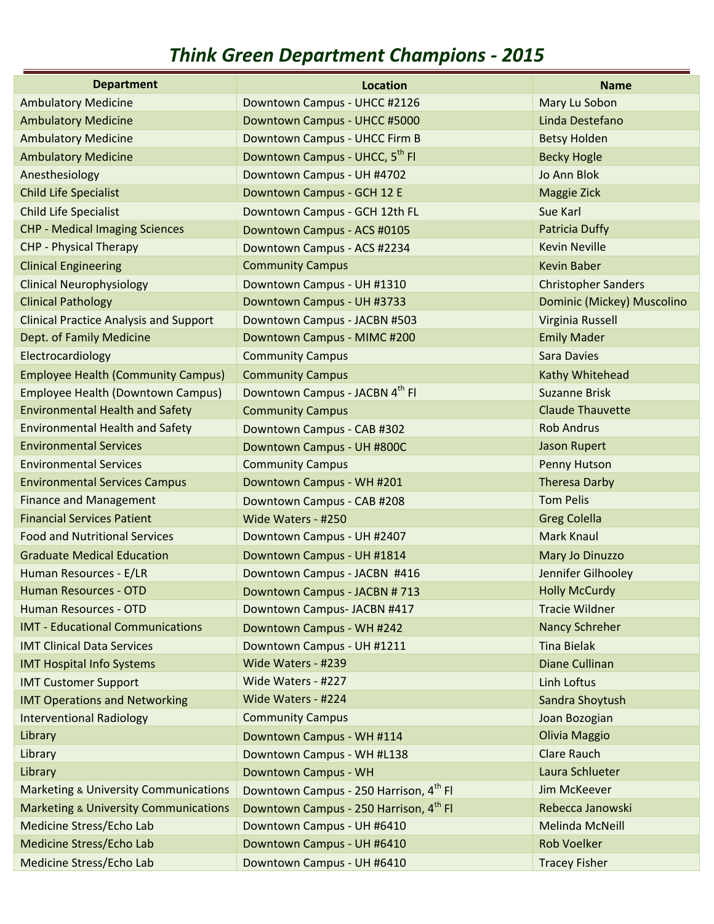## *Think Green Department Champions ‐ 2015*

| <b>Department</b>                                | <b>Location</b>                            | <b>Name</b>                |
|--------------------------------------------------|--------------------------------------------|----------------------------|
| <b>Ambulatory Medicine</b>                       | Downtown Campus - UHCC #2126               | Mary Lu Sobon              |
| <b>Ambulatory Medicine</b>                       | Downtown Campus - UHCC #5000               | Linda Destefano            |
| <b>Ambulatory Medicine</b>                       | Downtown Campus - UHCC Firm B              | <b>Betsy Holden</b>        |
| <b>Ambulatory Medicine</b>                       | Downtown Campus - UHCC, 5 <sup>th</sup> Fl | <b>Becky Hogle</b>         |
| Anesthesiology                                   | Downtown Campus - UH #4702                 | Jo Ann Blok                |
| <b>Child Life Specialist</b>                     | Downtown Campus - GCH 12 E                 | Maggie Zick                |
| <b>Child Life Specialist</b>                     | Downtown Campus - GCH 12th FL              | Sue Karl                   |
| <b>CHP - Medical Imaging Sciences</b>            | Downtown Campus - ACS #0105                | <b>Patricia Duffy</b>      |
| <b>CHP - Physical Therapy</b>                    | Downtown Campus - ACS #2234                | <b>Kevin Neville</b>       |
| <b>Clinical Engineering</b>                      | <b>Community Campus</b>                    | <b>Kevin Baber</b>         |
| <b>Clinical Neurophysiology</b>                  | Downtown Campus - UH #1310                 | <b>Christopher Sanders</b> |
| <b>Clinical Pathology</b>                        | Downtown Campus - UH #3733                 | Dominic (Mickey) Muscolino |
| <b>Clinical Practice Analysis and Support</b>    | Downtown Campus - JACBN #503               | Virginia Russell           |
| Dept. of Family Medicine                         | Downtown Campus - MIMC #200                | <b>Emily Mader</b>         |
| Electrocardiology                                | <b>Community Campus</b>                    | <b>Sara Davies</b>         |
| <b>Employee Health (Community Campus)</b>        | <b>Community Campus</b>                    | Kathy Whitehead            |
| <b>Employee Health (Downtown Campus)</b>         | Downtown Campus - JACBN 4th FI             | <b>Suzanne Brisk</b>       |
| <b>Environmental Health and Safety</b>           | <b>Community Campus</b>                    | <b>Claude Thauvette</b>    |
| <b>Environmental Health and Safety</b>           | Downtown Campus - CAB #302                 | <b>Rob Andrus</b>          |
| <b>Environmental Services</b>                    | Downtown Campus - UH #800C                 | <b>Jason Rupert</b>        |
| <b>Environmental Services</b>                    | <b>Community Campus</b>                    | Penny Hutson               |
| <b>Environmental Services Campus</b>             | Downtown Campus - WH #201                  | <b>Theresa Darby</b>       |
| <b>Finance and Management</b>                    | Downtown Campus - CAB #208                 | <b>Tom Pelis</b>           |
| <b>Financial Services Patient</b>                | Wide Waters - #250                         | <b>Greg Colella</b>        |
| <b>Food and Nutritional Services</b>             | Downtown Campus - UH #2407                 | <b>Mark Knaul</b>          |
| <b>Graduate Medical Education</b>                | Downtown Campus - UH #1814                 | Mary Jo Dinuzzo            |
| Human Resources - E/LR                           | Downtown Campus - JACBN #416               | Jennifer Gilhooley         |
| Human Resources - OTD                            | Downtown Campus - JACBN #713               | <b>Holly McCurdy</b>       |
| Human Resources - OTD                            | Downtown Campus- JACBN #417                | <b>Tracie Wildner</b>      |
| <b>IMT - Educational Communications</b>          | Downtown Campus - WH #242                  | Nancy Schreher             |
| <b>IMT Clinical Data Services</b>                | Downtown Campus - UH #1211                 | <b>Tina Bielak</b>         |
| <b>IMT Hospital Info Systems</b>                 | Wide Waters - #239                         | <b>Diane Cullinan</b>      |
| <b>IMT Customer Support</b>                      | Wide Waters - #227                         | Linh Loftus                |
| <b>IMT Operations and Networking</b>             | Wide Waters - #224                         | Sandra Shoytush            |
| <b>Interventional Radiology</b>                  | <b>Community Campus</b>                    | Joan Bozogian              |
| Library                                          | Downtown Campus - WH #114                  | Olivia Maggio              |
| Library                                          | Downtown Campus - WH #L138                 | <b>Clare Rauch</b>         |
| Library                                          | Downtown Campus - WH                       | Laura Schlueter            |
| <b>Marketing &amp; University Communications</b> | Downtown Campus - 250 Harrison, 4th FI     | Jim McKeever               |
| <b>Marketing &amp; University Communications</b> | Downtown Campus - 250 Harrison, 4th FI     | Rebecca Janowski           |
| Medicine Stress/Echo Lab                         | Downtown Campus - UH #6410                 | <b>Melinda McNeill</b>     |
| Medicine Stress/Echo Lab                         | Downtown Campus - UH #6410                 | <b>Rob Voelker</b>         |
| Medicine Stress/Echo Lab                         | Downtown Campus - UH #6410                 | <b>Tracey Fisher</b>       |